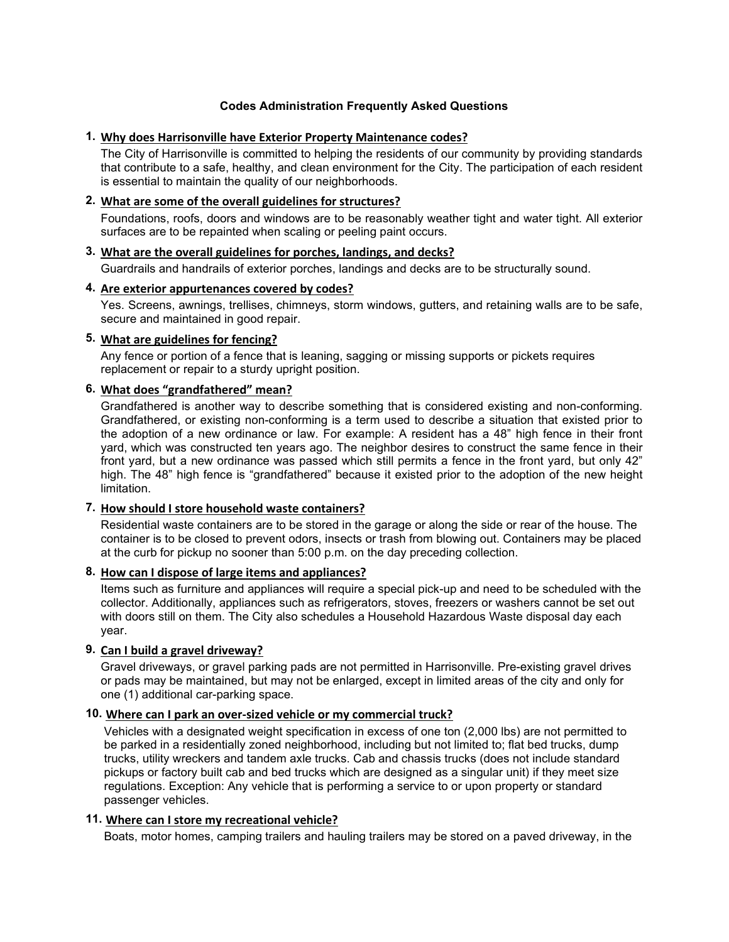## **Codes Administration Frequently Asked Questions**

## **1. Why does Harrisonville have Exterior Property Maintenance codes?**

The City of Harrisonville is committed to helping the residents of our community by providing standards that contribute to a safe, healthy, and clean environment for the City. The participation of each resident is essential to maintain the quality of our neighborhoods.

## **2. What are some of the overall guidelines for structures?**

Foundations, roofs, doors and windows are to be reasonably weather tight and water tight. All exterior surfaces are to be repainted when scaling or peeling paint occurs.

# **3. What are the overall guidelines for porches, landings, and decks?**

Guardrails and handrails of exterior porches, landings and decks are to be structurally sound.

## **4. Are exterior appurtenances covered by codes?**

Yes. Screens, awnings, trellises, chimneys, storm windows, gutters, and retaining walls are to be safe, secure and maintained in good repair.

## **5. What are guidelines for fencing?**

Any fence or portion of a fence that is leaning, sagging or missing supports or pickets requires replacement or repair to a sturdy upright position.

## **6. What does "grandfathered" mean?**

Grandfathered is another way to describe something that is considered existing and non-conforming. Grandfathered, or existing non-conforming is a term used to describe a situation that existed prior to the adoption of a new ordinance or law. For example: A resident has a 48" high fence in their front yard, which was constructed ten years ago. The neighbor desires to construct the same fence in their front yard, but a new ordinance was passed which still permits a fence in the front yard, but only 42" high. The 48" high fence is "grandfathered" because it existed prior to the adoption of the new height limitation.

### **7. How should I store household waste containers?**

Residential waste containers are to be stored in the garage or along the side or rear of the house. The container is to be closed to prevent odors, insects or trash from blowing out. Containers may be placed at the curb for pickup no sooner than 5:00 p.m. on the day preceding collection.

### **8. How can I dispose of large items and appliances?**

Items such as furniture and appliances will require a special pick-up and need to be scheduled with the collector. Additionally, appliances such as refrigerators, stoves, freezers or washers cannot be set out with doors still on them. The City also schedules a Household Hazardous Waste disposal day each year.

## **9. Can I build a gravel driveway?**

Gravel driveways, or gravel parking pads are not permitted in Harrisonville. Pre-existing gravel drives or pads may be maintained, but may not be enlarged, except in limited areas of the city and only for one (1) additional car-parking space.

### **10. Where can I park an over-sized vehicle or my commercial truck?**

Vehicles with a designated weight specification in excess of one ton (2,000 lbs) are not permitted to be parked in a residentially zoned neighborhood, including but not limited to; flat bed trucks, dump trucks, utility wreckers and tandem axle trucks. Cab and chassis trucks (does not include standard pickups or factory built cab and bed trucks which are designed as a singular unit) if they meet size regulations. Exception: Any vehicle that is performing a service to or upon property or standard passenger vehicles.

### **11. Where can I store my recreational vehicle?**

Boats, motor homes, camping trailers and hauling trailers may be stored on a paved driveway, in the